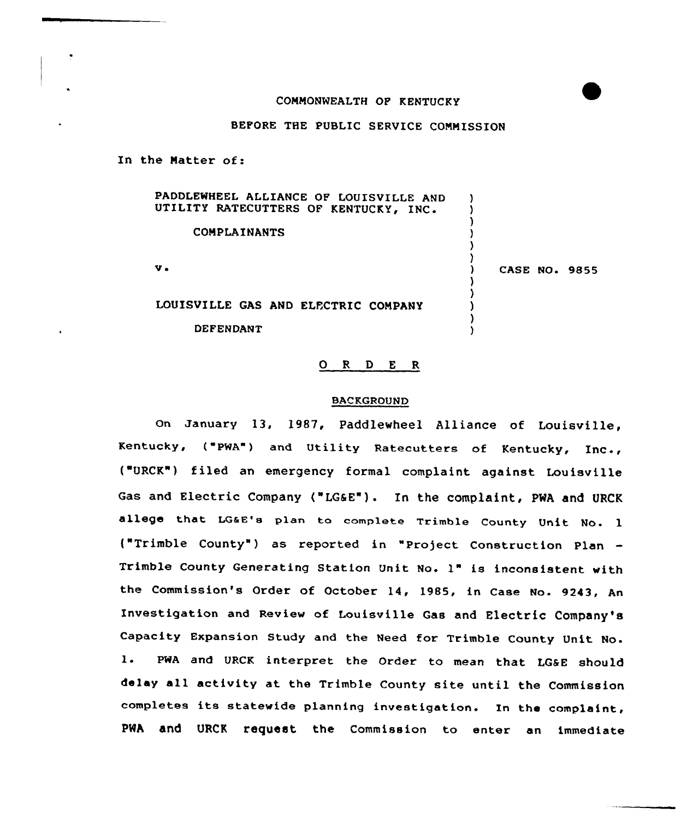### COMMONWEALTH OP KENTUCKY

## BEFORE THE PUBLIC SERVICE COMMISSION

In the Matter of:

| PADDLEWHEEL ALLIANCE OF LOUISVILLE AND<br>UTILITY RATECUTTERS OF KENTUCKY, INC. |                      |
|---------------------------------------------------------------------------------|----------------------|
| <b>COMPLAINANTS</b>                                                             |                      |
| v.                                                                              | <b>CASE NO. 9855</b> |
| LOUISVILLE GAS AND ELECTRIC COMPANY                                             |                      |
| <b>DEFENDANT</b>                                                                |                      |

# 0 <sup>R</sup> <sup>D</sup> <sup>E</sup> <sup>R</sup>

### BACKGROUND

On January 13, 1987, Paddlewheel Alliance of Louisville, Kentucky, ("PWA") and Utility Ratecutters of Kentucky, Inc., ("URCK") filed an emergency formal complaint against Louisville Gas and Electric Company ("LG6E") . In the complaint, PWA and URCK allege that LQaE'a plan to complete Trimble County Unit No. <sup>1</sup> {"Trimble County" ) as reported in "Pro)ect Construction Plan Trimble County Generating Station Unit No- 1" is inconsistent with the Commission's Order of October 14, 1985, in Case No. 9243, An Investigation and Review of Louisville Gas and Electric Company's Capacity Expansion Study and the Need for Trimble County Unit No. l. PWA and URCK interpret the Order to mean that LG&E should delay all activity at the Trimble County site until the Commission completes its statewide planning investigation. In the complaint, PWA and URCK request the Commission to enter an immediate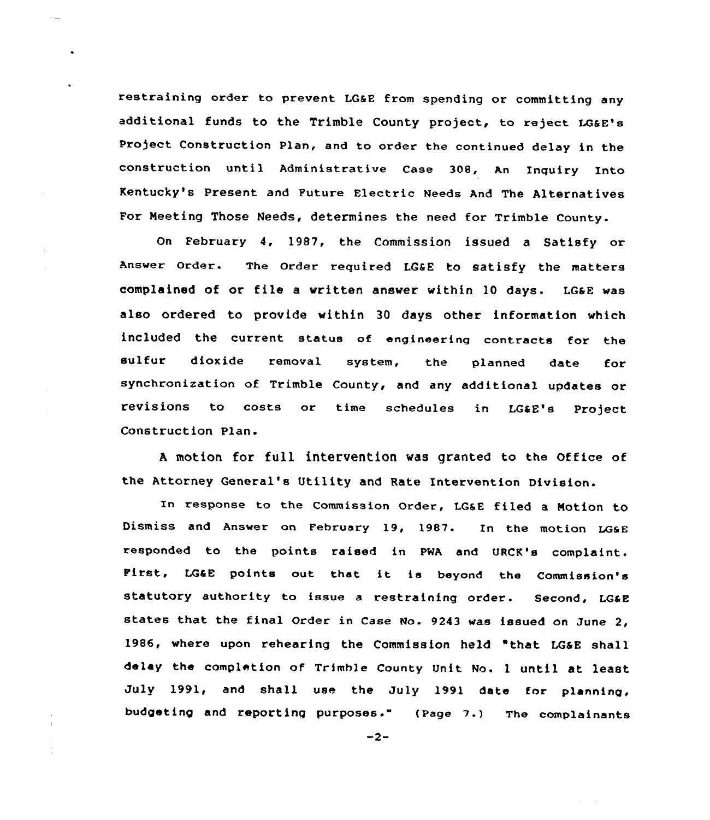restraining order to prevent LG&E from spending or committing any additional funds to the Trimble County project, to reject LG&E's Project Construction Plan, and to order the continued delay in the construction until Administrative Case 308, An Inquiry Into Kentucky's Pxesent and Future Electric Needs And The Alternatives For Neeting Those Needs, determines the need for Trimble County.

on February 4, 1987, the Commission issued a Satisfy or Answer Order. The Order required LG&E to satisfy the matters complained of or file <sup>a</sup> written answer within 10 days. LGaE was also ordered to provide within 30 days other information which included the current status of engineering contracts for the sulfur dioxide removal system, the planned date fox synchronization of Trimble County, and any additional updates or revisions to costs or time schedules in LG&E's Project Construction Plan.

<sup>A</sup> motion for full intervention was granted to the Office of the Attorney General's Utility and Rate Intervention Division.

In response to the commission order, LGaE filed <sup>a</sup> Notion to Dismiss and Answer on February 19, 1987. In the motion LGGE responded to the points raised in PWA and URCK's complaint. First, LG&E points out that it is beyond the Commission's statutory authority to issue a restraining order. Second, LG&E states that the final Order in Case No. <sup>9243</sup> was issued on June 2, 1986, where upon rehearing the Commission held "that LG&E shall delay the completion of Trimh)e county Unit Mo. <sup>1</sup> until at least July 1991, and shall use the July 1991 date for planning, budgeting and reporting purposes." (page ? .) The complainants

 $-2-$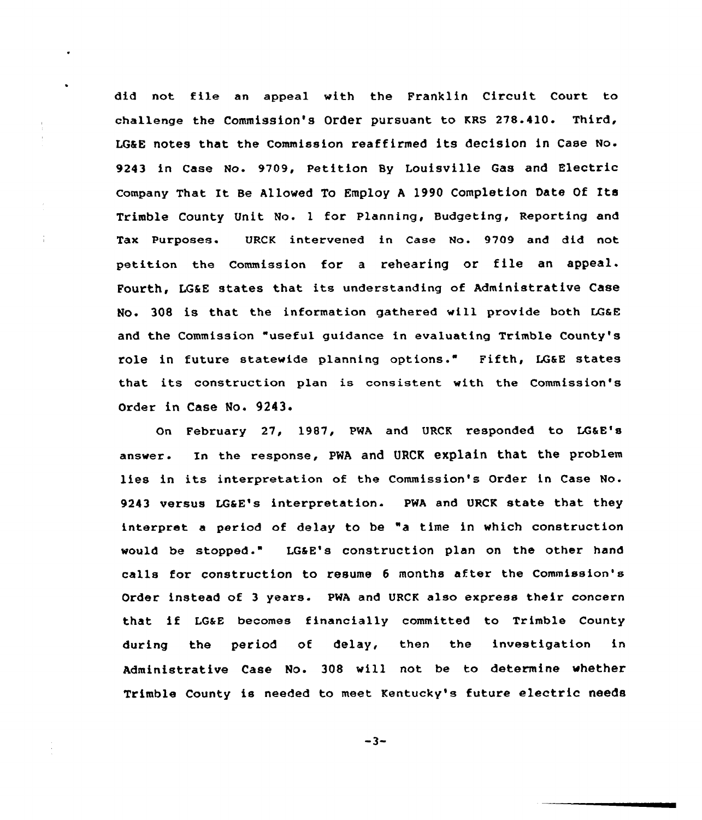did not fi1e an appeal with the Franklin Circuit Court to challenge the Commission's Order pursuant to KRS 278.410. Third, LOSE notes that the Commission reafiirmed its decision in Case No. 9243 in Case No. 9709, Petition By Louisville Gas and Electric Company That It Be Allowed To Employ <sup>A</sup> 1990 Completion Date Of Its Trimble County Unit No. 1 for Planning, Budgeting, Reporting and Tax Purposes. URCK intervened in Case Mo. 9709 and did not petition the Commission for <sup>a</sup> rehearing or file an appeal. Fourth, LG6E states that its understanding of Administrative Case No. 308 is that the information gathered will provide both LG&E and the Commission "useful guidance in evaluating Trimble County's role in future statewide planning options." Fifth, LG&E states that its construction plan is consistent with the Commission's Order in Case No. 9243.

On February 27, 1987, PNA and URCK responded to LGaE's answer. In the response, PNA and URCK explain that the problem lies in its interpretation of the Commission's Order in Case No. 9243 versus LGaE's interpretation. PWA and URCK state that they interpret <sup>a</sup> period of delay to be "a time in which construction would be stopped." LG&E's construction plan on the other hand calls for construction to resume <sup>6</sup> months after the Commission's Order instead of 3 years. PWA and URCK also express their concern that if LG&E becomes financially committed to Trimble County during the period of delay, then the investigation in Administrative Case No. 308 will not, be to determine whether Trimble County is needed to meet Kentucky's future electric needs

 $-3-$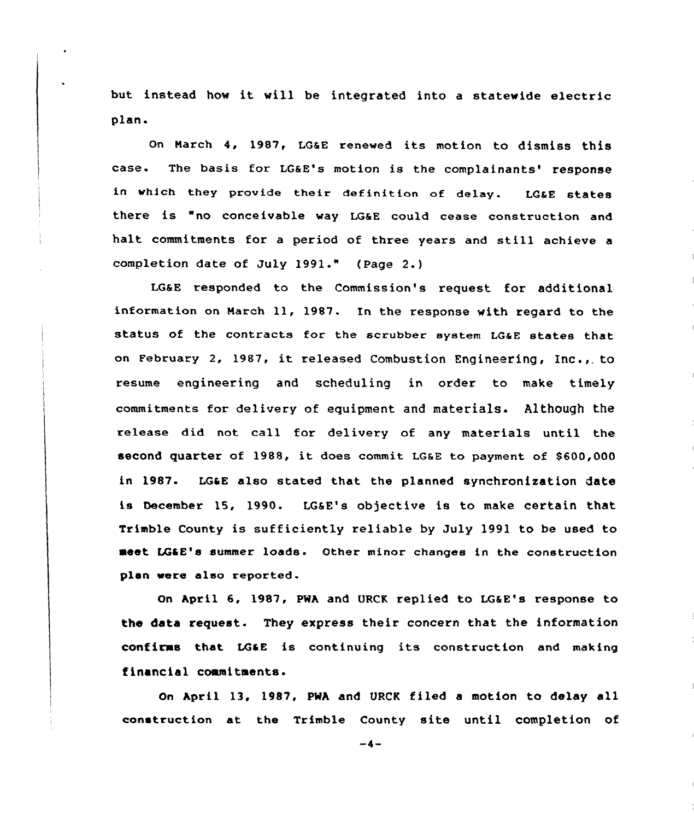but instead how it will be integrated into <sup>a</sup> statewide electric plan.

On March 4, 1987, LGaE renewed its motion to dismiss this case. The basis for LG&E's motion is the complainants' response in which they provide their definition of delay. LG6E states there is "no conceivable way LG&E could cease construction and halt commitments for a period of three years and still achieve a completion date of July 1991." (Page 2.)

LGaE responded to the Commission's request for additional information on March ll, 1987. In the response with regard to the status of the contracts for the scrubber system LGaE states that on February 2, 1987, it released Combustion Engineering, Inc., to resume engineering and scheduling in order to make timely commitments for delivery of equipment and materials. Although the release did not call for delivery of any materials until the second quarter of 1988, it does commit LGsE to payment of \$600,000 in 1987. LGaE also stated that the planned synchronization date is December 15, 1990. LG6E's objective is to make certain that Trimble County is sufficiently reliable by July 1991 to be used to meet LGtE's summer loads. Other minor changes in the construction plan were also reported.

On hpril 6, 1987, PWA and URCK replied to LGaE's response to the data request. They express their concern that the information confirms that LGtE is continuing its construction and making financial commitments.

On April 13, 1987, PMA and VRCK filed <sup>a</sup> motion to delay all construction at the Trimble County site until completion of

 $-4-$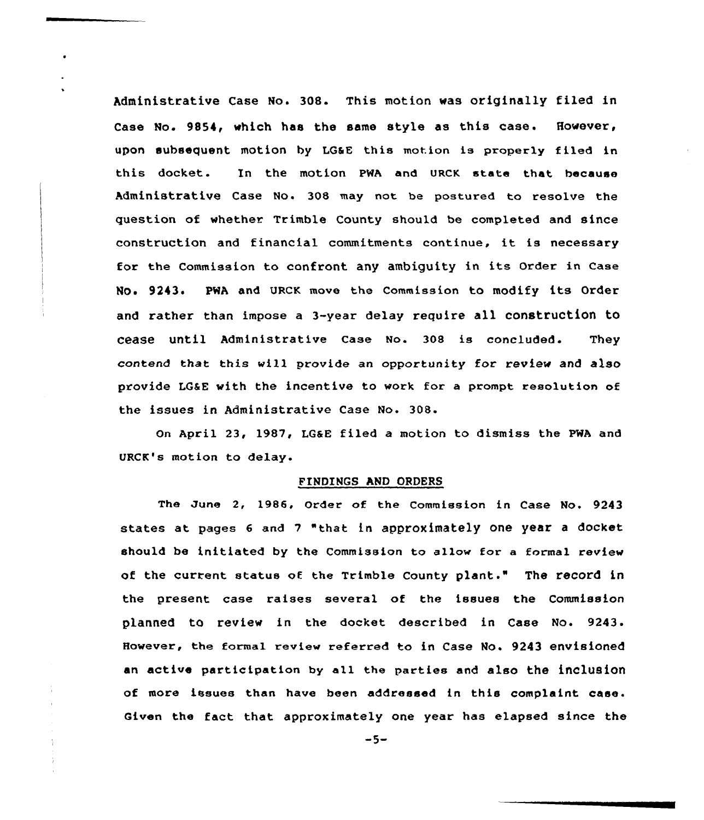Administrative Case No. 308. This motion was originally filed in Case No. 9854, which has the same style as this case. However, upon subsequent motion by LG&E this motion is properly filed in this docket. In the motion PWA and URCK state that because Administrative Case No. 308 may not be postured to resolve the question of whether Trimble County should be completed and since construction and financial commitments continue, it is necessary for the Commission to confront any ambiguity in its Order in Case No. 9243. PWA and URCK move the Commission to modify its Order and rather than impose a 3-year delay require all construction to cease until Administrative Case No. 308 is concluded. They contend that this will provide an opportunity for review and also provide LGEE with the incentive to work for a prompt resolution of the issues in Administrative Case No. 308.

On April 23, 1987, LGaE filed a motion to dismiss the PWA and URCK's motion to delay.

#### FINDINGS AND ORDERS

The June 2, 1986, Order of the Commission in Case No. 9243 states at pages <sup>6</sup> and <sup>7</sup> "that in approximately one year <sup>a</sup> docket should be initiated by the Commission to allow for a formal review of the current status of the Trimble County plant." The record in the present case raises several of the issues the Commission planned to review in the docket described in Case No. 9243. However, the formal review referred to in Case No. 9243 envisioned an active participation by all the parties and also the inclusion of more issues than have been addressed in this complaint case. Given the fact that approximately one year has elapsed since the

 $-5-$